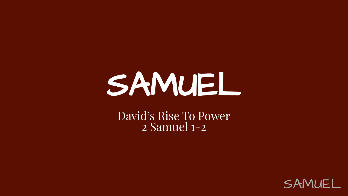# SAMUEL

David's Rise To Power 2 Samuel 1-2

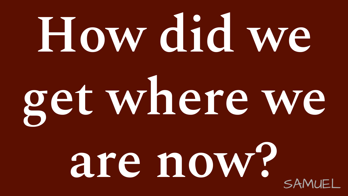# SAMUEL **How did we get where we are now?**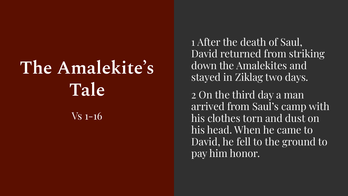## **The Amalekite's Tale**  $\overline{\text{Vs}}$  1-16

1 After the death of Saul, David returned from striking down the Amalekites and stayed in Ziklag two days.

2 On the third day a man arrived from Saul's camp with his clothes torn and dust on his head. When he came to David, he fell to the ground to pay him honor.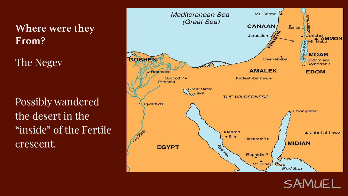**Where were they From?**

The Negev

Possibly wandered the desert in the "inside" of the Fertile crescent.



SAMUEL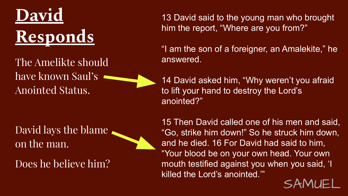

The Amelikte should have known Saul's Anointed Status.

David lays the blame on the man.

Does he believe him?

13 David said to the young man who brought him the report, "Where are you from?"

"I am the son of a foreigner, an Amalekite," he answered.

14 David asked him, "Why weren't you afraid to lift your hand to destroy the Lord's anointed?"

15 Then David called one of his men and said, "Go, strike him down!" So he struck him down, and he died. 16 For David had said to him, "Your blood be on your own head. Your own mouth testified against you when you said, 'I killed the Lord's anointed.'"

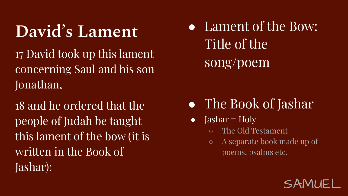### **David's Lament**

17 David took up this lament concerning Saul and his son Jonathan,

18 and he ordered that the people of Judah be taught this lament of the bow (it is written in the Book of Jashar):

• Lament of the Bow: Title of the song/poem

### • The Book of Jashar

- Jashar =  $Holy$ 
	- The Old Testament
	- A separate book made up of poems, psalms etc.

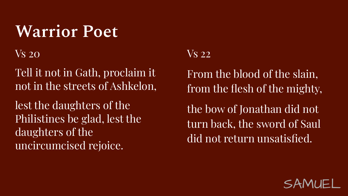### **Warrior Poet**

Vs 20

Tell it not in Gath, proclaim it not in the streets of Ashkelon,

lest the daughters of the Philistines be glad, lest the daughters of the uncircumcised rejoice.

#### Vs 22

From the blood of the slain, from the flesh of the mighty,

the bow of Jonathan did not turn back, the sword of Saul did not return unsatisfied.

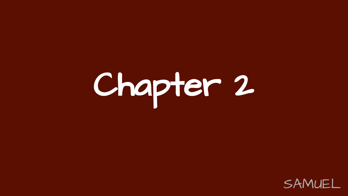# Chapter 2

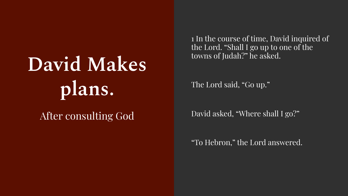# **David Makes plans.**

### After consulting God

1 In the course of time, David inquired of the Lord. "Shall I go up to one of the towns of Judah?" he asked.

The Lord said, "Go up."

David asked, "Where shall I go?"

"To Hebron," the Lord answered.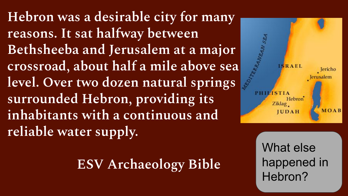**Hebron was a desirable city for many reasons. It sat halfway between Bethsheeba and Jerusalem at a major crossroad, about half a mile above sea level. Over two dozen natural springs surrounded Hebron, providing its inhabitants with a continuous and reliable water supply.**

**ESV Archaeology Bible**



 $\overline{\phantom{a}}$ What else happened in Hebron?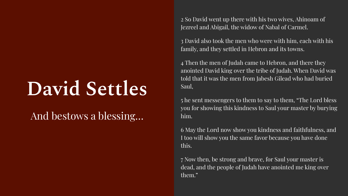## **David Settles**

### And bestows a blessing…

2 So David went up there with his two wives, Ahinoam of Jezreel and Abigail, the widow of Nabal of Carmel.

3 David also took the men who were with him, each with his family, and they settled in Hebron and its towns.

4 Then the men of Judah came to Hebron, and there they anointed David king over the tribe of Judah. When David was told that it was the men from Jabesh Gilead who had buried Saul,

5 he sent messengers to them to say to them, "The Lord bless you for showing this kindness to Saul your master by burying him.

6 May the Lord now show you kindness and faithfulness, and I too will show you the same favor because you have done this.

7 Now then, be strong and brave, for Saul your master is dead, and the people of Judah have anointed me king over them."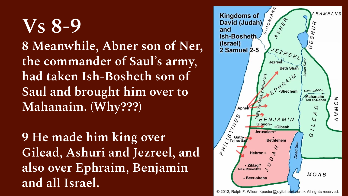**Vs 8-9 8 Meanwhile, Abner son of Ner, the commander of Saul's army, had taken Ish-Bosheth son of Saul and brought him over to Mahanaim. (Why???)**

**9 He made him king over Gilead, Ashuri and Jezreel, and also over Ephraim, Benjamin and all Israel.**